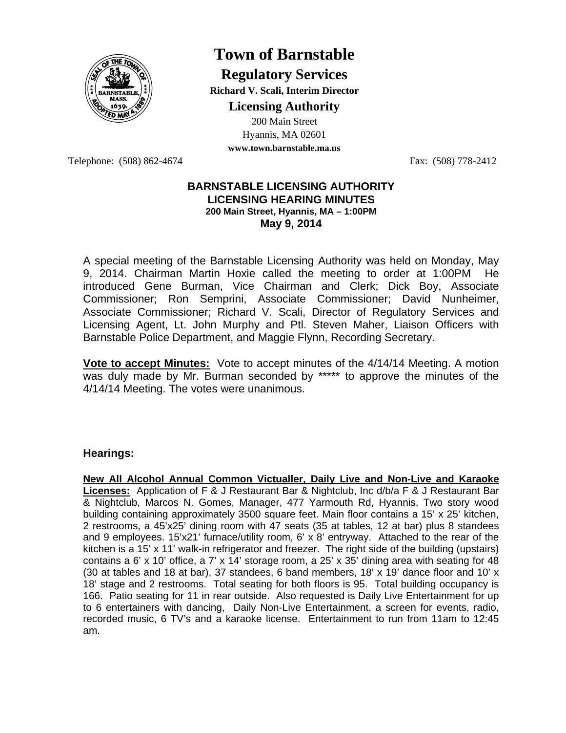

## **Town of Barnstable**

**Regulatory Services Richard V. Scali, Interim Director** 

**Licensing Authority**

200 Main Street Hyannis, MA 02601 **www.town.barnstable.ma.us**

Telephone: (508) 862-4674 Fax: (508) 778-2412

## **BARNSTABLE LICENSING AUTHORITY LICENSING HEARING MINUTES 200 Main Street, Hyannis, MA – 1:00PM May 9, 2014**

A special meeting of the Barnstable Licensing Authority was held on Monday, May 9, 2014. Chairman Martin Hoxie called the meeting to order at 1:00PM He introduced Gene Burman, Vice Chairman and Clerk; Dick Boy, Associate Commissioner; Ron Semprini, Associate Commissioner; David Nunheimer, Associate Commissioner; Richard V. Scali, Director of Regulatory Services and Licensing Agent, Lt. John Murphy and Ptl. Steven Maher, Liaison Officers with Barnstable Police Department, and Maggie Flynn, Recording Secretary.

**Vote to accept Minutes:** Vote to accept minutes of the 4/14/14 Meeting. A motion was duly made by Mr. Burman seconded by \*\*\*\*\* to approve the minutes of the 4/14/14 Meeting. The votes were unanimous.

## **Hearings:**

**New All Alcohol Annual Common Victualler, Daily Live and Non-Live and Karaoke Licenses:** Application of F & J Restaurant Bar & Nightclub, Inc d/b/a F & J Restaurant Bar & Nightclub, Marcos N. Gomes, Manager, 477 Yarmouth Rd, Hyannis. Two story wood building containing approximately 3500 square feet. Main floor contains a 15' x 25' kitchen, 2 restrooms, a 45'x25' dining room with 47 seats (35 at tables, 12 at bar) plus 8 standees and 9 employees. 15'x21' furnace/utility room, 6' x 8' entryway. Attached to the rear of the kitchen is a 15' x 11' walk-in refrigerator and freezer. The right side of the building (upstairs) contains a 6' x 10' office, a 7' x 14' storage room, a  $25'$  x  $35'$  dining area with seating for 48 (30 at tables and 18 at bar), 37 standees, 6 band members, 18' x 19' dance floor and 10' x 18' stage and 2 restrooms. Total seating for both floors is 95. Total building occupancy is 166. Patio seating for 11 in rear outside. Also requested is Daily Live Entertainment for up to 6 entertainers with dancing, Daily Non-Live Entertainment, a screen for events, radio, recorded music, 6 TV's and a karaoke license. Entertainment to run from 11am to 12:45 am.